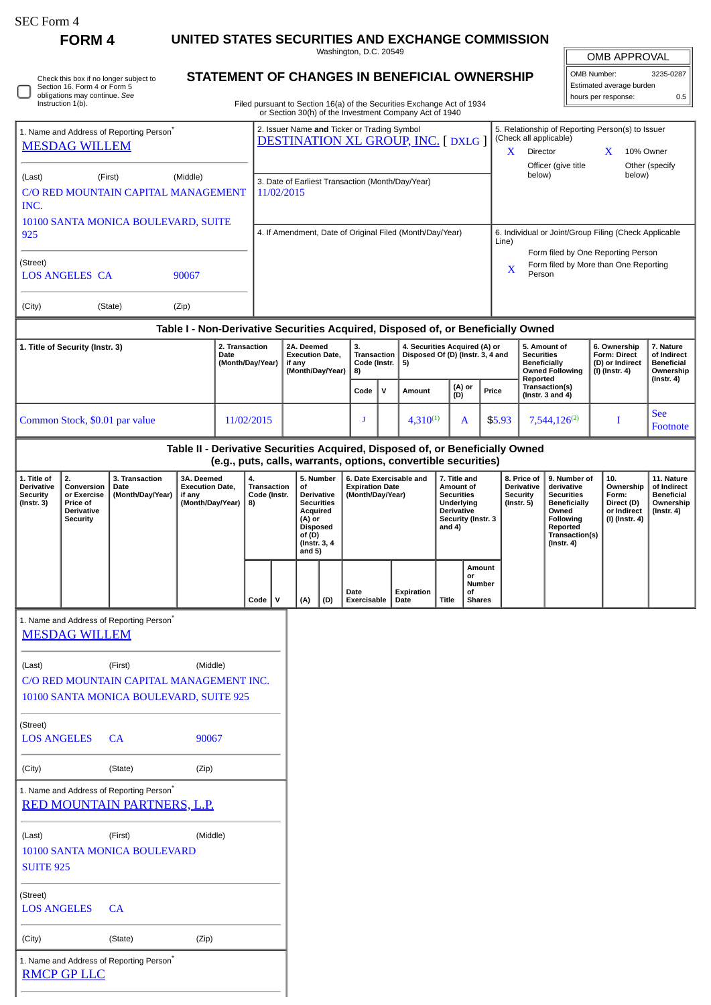| SEC Form 4 |  |
|------------|--|
|------------|--|

 $\Box$ 

**FORM 4 UNITED STATES SECURITIES AND EXCHANGE COMMISSION**

Washington, D.C. 20549

## **STATEMENT OF CHANGES IN BENEFICIAL OWNERSHIP**

Filed pursuant to Section 16(a) of the Securities Exchange Act of 1934 or Section 30(h) of the Investment Company Act of 1940

| OMB APPROVAL             |           |  |  |  |  |
|--------------------------|-----------|--|--|--|--|
| OMB Number:              | 3235-0287 |  |  |  |  |
| Estimated average burden |           |  |  |  |  |
| hours per response:      | 0.5       |  |  |  |  |

|                                                                              |                                                                                                                                                                                                                                                                                                                                                                                                                                                                         |                                                                                                |                                                                                                                   |                                                                                         |                                                                    |   |                                                                   |                                                                                                                                                 |                                                                          |                                                                                 | or Section 30(h) of the Investment Company Act of 1940                                                                   |                                                                                            |                                                                                                |                                   |                                                                   |                                                                                |  |  |
|------------------------------------------------------------------------------|-------------------------------------------------------------------------------------------------------------------------------------------------------------------------------------------------------------------------------------------------------------------------------------------------------------------------------------------------------------------------------------------------------------------------------------------------------------------------|------------------------------------------------------------------------------------------------|-------------------------------------------------------------------------------------------------------------------|-----------------------------------------------------------------------------------------|--------------------------------------------------------------------|---|-------------------------------------------------------------------|-------------------------------------------------------------------------------------------------------------------------------------------------|--------------------------------------------------------------------------|---------------------------------------------------------------------------------|--------------------------------------------------------------------------------------------------------------------------|--------------------------------------------------------------------------------------------|------------------------------------------------------------------------------------------------|-----------------------------------|-------------------------------------------------------------------|--------------------------------------------------------------------------------|--|--|
| 1. Name and Address of Reporting Person <sup>®</sup><br><b>MESDAG WILLEM</b> |                                                                                                                                                                                                                                                                                                                                                                                                                                                                         |                                                                                                |                                                                                                                   | 2. Issuer Name and Ticker or Trading Symbol<br><b>DESTINATION XL GROUP, INC. [DXLG]</b> |                                                                    |   |                                                                   |                                                                                                                                                 |                                                                          |                                                                                 | 5. Relationship of Reporting Person(s) to Issuer<br>(Check all applicable)<br>X<br>Director<br>10% Owner<br>$\mathbf{X}$ |                                                                                            |                                                                                                |                                   |                                                                   |                                                                                |  |  |
| (Middle)<br>(First)<br>(Last)<br>C/O RED MOUNTAIN CAPITAL MANAGEMENT<br>INC. |                                                                                                                                                                                                                                                                                                                                                                                                                                                                         |                                                                                                |                                                                                                                   | 3. Date of Earliest Transaction (Month/Day/Year)<br>11/02/2015                          |                                                                    |   |                                                                   |                                                                                                                                                 |                                                                          |                                                                                 |                                                                                                                          | below)                                                                                     | Officer (give title                                                                            |                                   | Other (specify<br>below)                                          |                                                                                |  |  |
| 10100 SANTA MONICA BOULEVARD, SUITE<br>925                                   |                                                                                                                                                                                                                                                                                                                                                                                                                                                                         |                                                                                                |                                                                                                                   | 4. If Amendment, Date of Original Filed (Month/Day/Year)                                |                                                                    |   |                                                                   |                                                                                                                                                 |                                                                          |                                                                                 |                                                                                                                          |                                                                                            | 6. Individual or Joint/Group Filing (Check Applicable<br>Line)                                 |                                   |                                                                   |                                                                                |  |  |
| (Street)<br><b>LOS ANGELES CA</b><br>90067                                   |                                                                                                                                                                                                                                                                                                                                                                                                                                                                         |                                                                                                |                                                                                                                   |                                                                                         |                                                                    |   |                                                                   |                                                                                                                                                 |                                                                          |                                                                                 |                                                                                                                          | Form filed by One Reporting Person<br>Form filed by More than One Reporting<br>X<br>Person |                                                                                                |                                   |                                                                   |                                                                                |  |  |
| (City)                                                                       |                                                                                                                                                                                                                                                                                                                                                                                                                                                                         | (State)                                                                                        | (Zip)                                                                                                             |                                                                                         |                                                                    |   |                                                                   |                                                                                                                                                 |                                                                          |                                                                                 |                                                                                                                          |                                                                                            |                                                                                                |                                   |                                                                   |                                                                                |  |  |
|                                                                              |                                                                                                                                                                                                                                                                                                                                                                                                                                                                         |                                                                                                | Table I - Non-Derivative Securities Acquired, Disposed of, or Beneficially Owned                                  |                                                                                         |                                                                    |   |                                                                   |                                                                                                                                                 |                                                                          |                                                                                 |                                                                                                                          |                                                                                            |                                                                                                |                                   |                                                                   |                                                                                |  |  |
| 1. Title of Security (Instr. 3)                                              |                                                                                                                                                                                                                                                                                                                                                                                                                                                                         | 2. Transaction<br>Date                                                                         | (Month/Day/Year)                                                                                                  |                                                                                         | 2A. Deemed<br><b>Execution Date,</b><br>if any<br>(Month/Day/Year) |   | 3.<br>Transaction<br>Code (Instr.<br>5)<br>8)                     |                                                                                                                                                 |                                                                          | 4. Securities Acquired (A) or<br>Disposed Of (D) (Instr. 3, 4 and               |                                                                                                                          |                                                                                            | 5. Amount of<br><b>Securities</b><br><b>Beneficially</b><br><b>Owned Following</b><br>Reported |                                   | 6. Ownership<br>Form: Direct<br>(D) or Indirect<br>(I) (Instr. 4) | 7. Nature<br>of Indirect<br><b>Beneficial</b><br>Ownership<br>$($ Instr. 4 $)$ |  |  |
|                                                                              |                                                                                                                                                                                                                                                                                                                                                                                                                                                                         |                                                                                                |                                                                                                                   |                                                                                         |                                                                    |   |                                                                   |                                                                                                                                                 | Code                                                                     | v                                                                               | Amount                                                                                                                   |                                                                                            | (A) or<br>(D)                                                                                  | Price                             | Transaction(s)<br>(Instr. $3$ and $4$ )                           |                                                                                |  |  |
|                                                                              | Common Stock, \$0.01 par value<br>11/02/2015                                                                                                                                                                                                                                                                                                                                                                                                                            |                                                                                                |                                                                                                                   |                                                                                         | J                                                                  |   | $4,310^{(1)}$                                                     |                                                                                                                                                 | A                                                                        | \$5.93                                                                          |                                                                                                                          | $7,544,126^{(2)}$                                                                          |                                                                                                | <b>See</b><br>Footnote            |                                                                   |                                                                                |  |  |
|                                                                              |                                                                                                                                                                                                                                                                                                                                                                                                                                                                         |                                                                                                | Table II - Derivative Securities Acquired, Disposed of, or Beneficially Owned                                     |                                                                                         |                                                                    |   |                                                                   |                                                                                                                                                 |                                                                          |                                                                                 | (e.g., puts, calls, warrants, options, convertible securities)                                                           |                                                                                            |                                                                                                |                                   |                                                                   |                                                                                |  |  |
| 1. Title of<br><b>Derivative</b><br><b>Security</b><br>(Instr. 3)            | 2.<br>3A. Deemed<br>6. Date Exercisable and<br>3. Transaction<br>5. Number<br>4.<br><b>Execution Date,</b><br><b>Transaction</b><br>of<br><b>Expiration Date</b><br>Conversion<br>Date<br>(Month/Day/Year)<br>Code (Instr.<br>or Exercise<br>if any<br>Derivative<br>(Month/Day/Year)<br>(Month/Day/Year)<br>Price of<br><b>Securities</b><br>8)<br><b>Derivative</b><br>Acquired<br><b>Security</b><br>(A) or<br><b>Disposed</b><br>of (D)<br>(Instr. 3, 4<br>and $5)$ |                                                                                                | 7. Title and<br>Amount of<br><b>Securities</b><br>Underlying<br><b>Derivative</b><br>Security (Instr. 3<br>and 4) |                                                                                         |                                                                    |   | 8. Price of<br><b>Derivative</b><br><b>Security</b><br>(Instr. 5) | 9. Number of<br>derivative<br><b>Securities</b><br><b>Beneficially</b><br>Owned<br><b>Following</b><br>Reported<br>Transaction(s)<br>(Instr. 4) | 10.<br>Ownership<br>Form:<br>Direct (D)<br>or Indirect<br>(I) (Instr. 4) | 11. Nature<br>of Indirect<br><b>Beneficial</b><br>Ownership<br>$($ Instr. 4 $)$ |                                                                                                                          |                                                                                            |                                                                                                |                                   |                                                                   |                                                                                |  |  |
|                                                                              |                                                                                                                                                                                                                                                                                                                                                                                                                                                                         |                                                                                                |                                                                                                                   |                                                                                         | $Code \vert$                                                       | v | (A)                                                               | (D)                                                                                                                                             | Date<br>Exercisable                                                      |                                                                                 | Expiration<br>Date                                                                                                       | Title                                                                                      | or<br>οf                                                                                       | Amount<br>Number<br><b>Shares</b> |                                                                   |                                                                                |  |  |
|                                                                              | <b>MESDAG WILLEM</b>                                                                                                                                                                                                                                                                                                                                                                                                                                                    | 1. Name and Address of Reporting Person <sup>®</sup>                                           |                                                                                                                   |                                                                                         |                                                                    |   |                                                                   |                                                                                                                                                 |                                                                          |                                                                                 |                                                                                                                          |                                                                                            |                                                                                                |                                   |                                                                   |                                                                                |  |  |
| (Last)                                                                       |                                                                                                                                                                                                                                                                                                                                                                                                                                                                         | (First)<br>C/O RED MOUNTAIN CAPITAL MANAGEMENT INC.<br>10100 SANTA MONICA BOULEVARD, SUITE 925 | (Middle)                                                                                                          |                                                                                         |                                                                    |   |                                                                   |                                                                                                                                                 |                                                                          |                                                                                 |                                                                                                                          |                                                                                            |                                                                                                |                                   |                                                                   |                                                                                |  |  |
| (Street)<br><b>LOS ANGELES</b>                                               |                                                                                                                                                                                                                                                                                                                                                                                                                                                                         | CA                                                                                             | 90067                                                                                                             |                                                                                         |                                                                    |   |                                                                   |                                                                                                                                                 |                                                                          |                                                                                 |                                                                                                                          |                                                                                            |                                                                                                |                                   |                                                                   |                                                                                |  |  |
| (City)<br>(State)<br>(Zip)                                                   |                                                                                                                                                                                                                                                                                                                                                                                                                                                                         |                                                                                                |                                                                                                                   |                                                                                         |                                                                    |   |                                                                   |                                                                                                                                                 |                                                                          |                                                                                 |                                                                                                                          |                                                                                            |                                                                                                |                                   |                                                                   |                                                                                |  |  |
|                                                                              |                                                                                                                                                                                                                                                                                                                                                                                                                                                                         | 1. Name and Address of Reporting Person*<br>RED MOUNTAIN PARTNERS, L.P.                        |                                                                                                                   |                                                                                         |                                                                    |   |                                                                   |                                                                                                                                                 |                                                                          |                                                                                 |                                                                                                                          |                                                                                            |                                                                                                |                                   |                                                                   |                                                                                |  |  |
| (Last)                                                                       |                                                                                                                                                                                                                                                                                                                                                                                                                                                                         | (First)                                                                                        | (Middle)                                                                                                          |                                                                                         |                                                                    |   |                                                                   |                                                                                                                                                 |                                                                          |                                                                                 |                                                                                                                          |                                                                                            |                                                                                                |                                   |                                                                   |                                                                                |  |  |

10100 SANTA MONICA BOULEVARD SUITE 925

(Street)

LOS ANGELES CA

(City) (State) (Zip)

1. Name and Address of Reporting Person\*

|  | <b>RMCP GP LLC</b> |  |  |
|--|--------------------|--|--|
|  |                    |  |  |